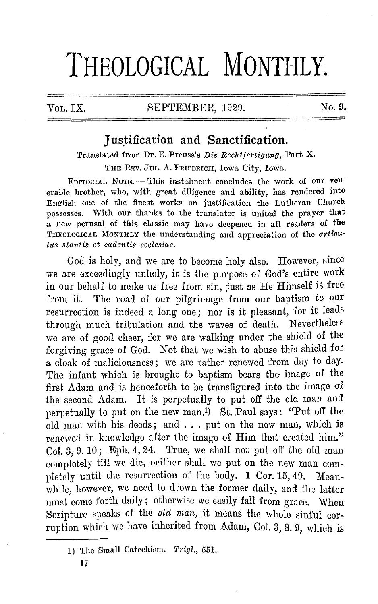# **THEOLOGICAL MONTHLY.**

VOL. IX. SEPTEMBER, 1929. No. 9.

## **Justification and Sanctification.**

Translated from Dr. E. Preuss's *Die Rechtfcrtigung,* Part X.

THE REV. JUL. A. FRIEDRICH, Iowa City, Iowa.

EDITORIAL NOTE. - This instalment concludes the work of our venerable brother, who, with great diligence and ability, has rendered into English one of the finest works on justification the Lutheran Church possesses. With our thanks to the translator is united the prayer that a new perusal of this classic may have deepened in all readers of the 'l'IIEOLOGICAL MONTIILY the understanding and appreciation of the *articulus stantis ct cadentis ecclesiac.* 

God is holy, and we are to become holy also. However, since we are exceedingly unholy, it is the purpose of God's entire work in our behalf to make us free from sin, just as He Himself is free from it. The road of our pilgrimage from our baptism to our resurrection is indeed a long one; nor is it pleasant, for it leads through much tribulation and the waves 0£ death. Nevertheless we are of good cheer, for we are walking under the shield of the forgiving grace of God. Not that we wish to abuse this shield for a cloak of maliciousness; we are rather renewed from day to day. The infant which is brought to baptism bears the image of the first Adam and is henceforth to be transfigured into the image of the second Adam. It is perpetually to put off the old man and perpetually to put on the new man.1) St. Paul says: "Put off the old man with his deeds; and ... put on the new man, which is renewed in knowledge after the image of Him that created him." Col. 3, 9. 10; Eph. 4, 24. True, we shall not put off the old man completely till we die, neither shall we put on the new man completely until the resurrection of the body. 1 Cor. 15, 49. Meanwhile, however, we need to drown the former daily, and the latter must come forth daily; otherwise we easily fall from grace. When Scripture speaks of the *old man,* it means the whole sinful corruption which we have inherited from Adam, Col. 3, 8. 9, which is

<sup>1)</sup> The Small Catechism. *Trigl.*, 551.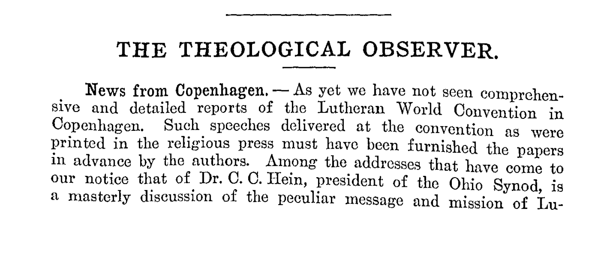## **THE THEOLOGICAL OBSERVER.**

**News from Copenhagen.**  $-$  As yet we have not seen comprehensive and detailed reports of the Lutheran World Convention **in**  Copenhagen. Such speeches delivered at the convention as were printed in the religious press must have been furnished the papers in advance by the authors. Among the addresses that have come to our notice that of Dr. 0. 0. Hein, president of the Ohio Synod, is a masterly discussion of the peculiar message and mission of **Lu-**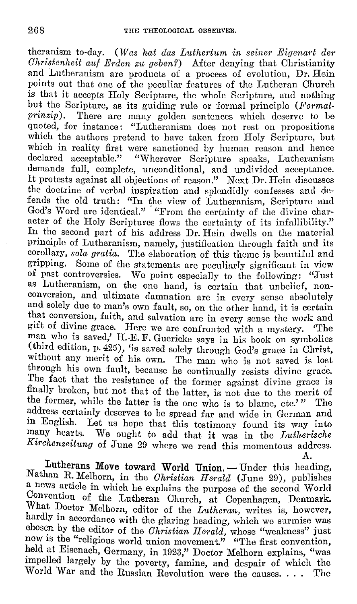theranism to-day. *(Was hat das Luthertum in seiner Eigenart der Christenheit ail/ Erden zu geben?)* After denying that Ohristianity and Lutheranism are products of a process of evolution, Dr. Hein points out that one of the peculiar features of the Lutheran Church is that it accepts Holy Scripture, the whole Scripture, and nothing but the Scripture, as its guiding rule or formal principle *(Formal-prinzin)*. There are many golden septences which deserve to be There are many golden sentences which deserve to be quoted, for instance: "Lutheranism docs not rest on propositions which the authors pretend to have taken from Holy Scripture, but which in reality first were sanctioned by human reason and hence declared acceptable." "Wherever Scripture speaks, Lutheranism demands full, complete, unconditional, and undivided acceptance. It protests against all objections of reason." Next Dr. Hein discusses the doctrine of verbal inspiration and splendidly confesses and defends the old truth: "In the view of Lutheranism, Seripture and God's Word are identical." "From the certainty of the divine character of the Holy Scriptures flows the certainty of its infallibility." In the second part of his address Dr. Hein dwells on the material prineiple of Lutheranism, namely, justification through faith and its corollary, *sola gratia.* The elaboration of this theme is beautiful and gripping. Some of the statements are peculiarly significant in view of past controversies. We point especially to the following: "Just as Lutheranism, on the one hand, is certain that unbelief, nonconversion, and ultimate damnation arc in every sense absolutely and solely due to man's own fault, so, on the other hand, it is certain that conversion, faith, and salvation are in every sense the work and gift of divine grace. Here we are confronted with a mystery. 'The man who is saved,' H.-E. F. Guericke says in his book on symbolics (third edition, p. 425), 'is saved solely through God's grace in Christ, without any merit of his own. The man who is not saved is lost through his own fault, because he continually resists divine grace. The fact that the resistance of the former against divine grace is finally broken, but not that of the latter, is not due to the merit of the former, while the latter is the one who is to blame, etc.'" The address certainly deserves to be spread far and wide in German and **in** English. Let us hope that this testimony found its way into many hearts. We ought to add that it was in the *Lutherische Kirchenzeitung* of June 20 where we read this momentous address. A.

Lutherans Move toward World Union. - Under this heading, Nathan R. Melhorn, in the *Christian Ileralcl* (June 29), publishes a news article in which he explains the purpose of the second World Convention of the Lutheran Church, at Copenhagen, Denmark. What Doctor Melhorn, editor of the *Lutheran*, writes is, however, hardly in accordance with the glaring heading, which we surmise was chosen by the editor of the *Christian JI erald,* whose "weakness" just now is the "religious world union movement." "The first convention, held at Eisenach, Germany, in 1923," Doctor Melhorn explains, "was impelled largely by the poverty, £amine, and despair of which the World War and the Russian Revolution were the causes. . . . The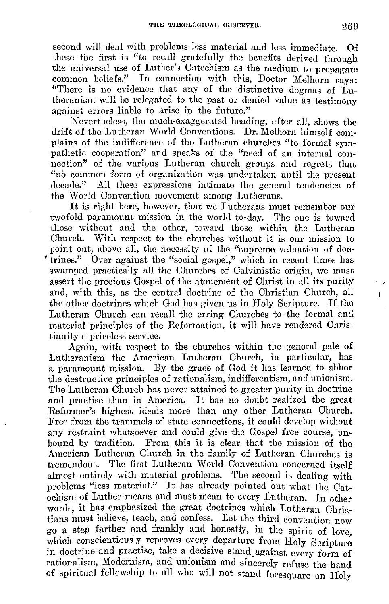second will deal with problems less material and less immediate. Of these the first is "to recall gratefully the benefits derived through the universal use of Luther's Catechism as the medium to propagate common beliefs." In connection with this, Doctor Melhorn says: "There is no evidence that any of the distinctive dogmas of Lutheranism will be relegated to the past or denied value as testimony against errors liable to arise in the future.''

Nevertheless, the much-exaggerated heading, after all, shows the drift of the Lutheran World Conventions. Dr. Melhorn himself complains of the indifference of the Lutheran churches "to formal sympathetic cooperation" and speaks of the "need of an internal connection" of the various Lutheran church groups and regrets that "nb common form of organization was undertaken until the present decade." All these expressions intimate the general tendencies of the World Convention movement among Lutherans.

It is right here, however, that we Lutherans must remember our twofold paramount mission in the world to-day. The one is toward those without and the other, toward those within the Lutheran Church. With respect to the churches without it is our mission to point out, above all, the necessity of the "supreme valuation of doc- • trines.'' Over against the "social gospel," which in recent times has swamped practically all the Churches of Calvinistic origin, we must assert the precious Gospel of the atonement of Christ in all its purity and, with this, as the central doctrine of the Christian Church, all the other doctrines which God has given us in Holy Scripture. If tho Lutheran Church can recall the erring Churches to the formal and material principles of the Reformation, it will have rendered Christianity a priceless service.

Again, with respect to the churches within the general pale of Lutheranism the American Lutheran Church, in particular, has a paramount mission. By the grace of God it has learned to abhor the destructive principles of rationalism, indifferentism, and unionism. The Lutheran Church has never attained to greater purity in doctrine and practise than in America. It has no doubt realized the great Reformer's highest ideals more than any other Lutheran Church. Free from the trammels of state connections, it could develop without any restraint whatsoever and could give the Gospel free course, unbound by tradition. From this it is clear that the mission of the American Lutheran Church in the family of Lutheran Churches is tremendous. The first Lutheran World Convention concerned itself almost entirely with material problems. The second is dealing with problems "less material.'' It has already pointed out what the Catechism of Luther means and must mean to every Lutheran. In other words, it has emphasized the great doctrines which Lutheran Christians must believe, teach, and confess. Let the third convention now go a step farther and frankly and honestly, in the spirit of love, which conscientiously reproves every departure from Holy Scripture in doctrine and practise, take a decisive stand against every form of rationalism, Modernism, and unionism and sincerely refuse the hand of spiritual fellowship to all who will not stand foresquare on Holy

 $\mathbb{L}$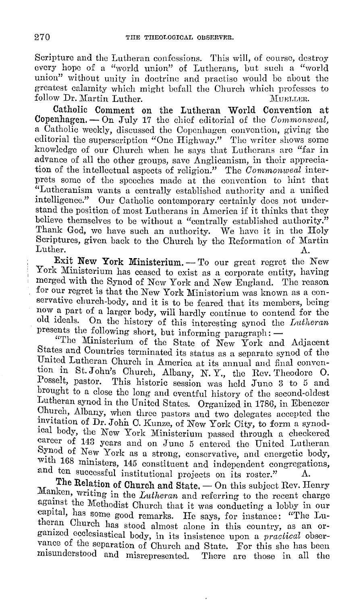Scripture and the Lutheran confessions. This will, of course, destroy every hope of a "world union" of Lutherans, but sueh a "world union" without unity in doetrine and practise would be about the greatest calamity which might befall the Church which professes to follow Dr. Martin Luther. follow Dr. Martin Luther.

Catholic Comment on the Lutheran World Convention at Copenhagen. - On July 17 the chief editorial of the *Commonweal,*  a Catholic weekly, discussed the Copenhagen convention, giving the editorial the superscription "One Highway." The writer shows some knowledge of our Church when he says that Lutherans arc "far in advanec of all the other groups, save Anglicanism, in their appreciation of the intellectual aspects of religion." The *Commonweal* interprets some of the speeches made at the convention to hint that "Lutheranism wants a centrally established authority and a unified intelligenee." Our Catholic contemporary certainly docs not understand the position of most Lutherans in America if it thinks that they believe themselves to be without a "centrally established authority." Thank God, we have such an authority. We have it in the Holy Scriptures, given back to the Church by the Reformation of Martin Luther.  $\Delta$ .

**Exit New York Ministerium.** - To our great regret the New York Ministerium has ceased to exist as a corporate entity, having merged with the Synod of New York and New England. The reason for our regret is that the New York Ministerium was known as a conservative church-body, and it is to be feared that its members, being now a part of a larger body, will hardly continue to contend for the old ideals. On the history of this interesting synod the *Didheran*  presents the following short, but informing paragraph:  $-$ 

"The Ministerium of the State of New York and Adjacent States and Countries terminated its status as a separate synod of the United Lutheran Church in America at its annual and final convention in St. John's Church, Albany, N. Y., the Rev. Theodore O.<br>Posselt, pastor. This historic session was held June 3 to 5 and This historic session was held June 3 to 5 and brought to a close the long and eventful history of the second-oldest Lutheran synod in the United States. Organized in 1786, in Ebenezer Church, Albany, when three pastors and two delegates accepted the invitation of Dr. John C. Kunze, of New York City, to form a synodical body, the New York Ministerium passed through a checkered career of 143 years and on June 5 entered the United Lutheran Synod of New York as a strong, conservative, and energetic body, with  $168$  ministers,  $145$  constituent and independent congregations, and ten successful institutional projects on its roster." A.

The Relation of Church and State. - On this subject Rev. Henry Manken, writing in the *Lutheran* and referring to the recent charge against the Methodist Church that it was conducting a lobby in our capital, has some good remarks. He says, for instance: "The Lutheran Church has stood almost alone in this country, as an organized ecclesiastical body, in its insistence upon a *practical* observance of the separation of Church and State. For this she has been misunderstood and misrepresented. There arc those in all the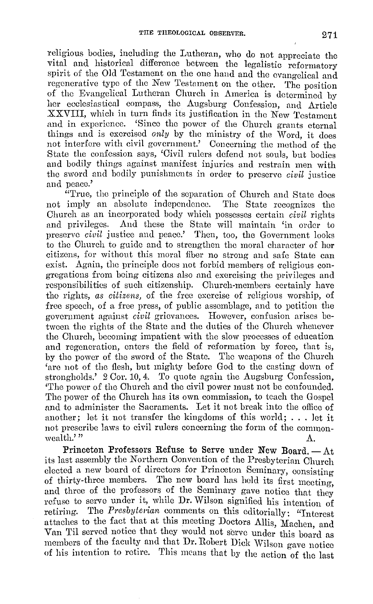religious bodies, including the Lutheran, who do not appreciate the vital and historical difference between the legalistic reformatory spirit of the Old Testament on the one hand and the evangelical and regenerative type of the New Testnment on the other. The position of the Evangelical Lutheran Church in America is determined by her ecclesiastical compass, the Augsburg Confession, and Article XXVIII, which in turn finds its justification in the New Testament and in experience. 'Since the power of the Church grants eternal things and is exercised *only* by the ministry of the Word, it does not interfere with civil government.' Concerning the method of the State the confession says, 'Civil rulers defend not souls, but bodies and bodily things against manifest injuries and restrain men with the sword and bodily punishments in order to preserve *civil* justice and peace.'

"True, the principle of the separation of Church and State does not imply an absolute independence. The State recognizes the Church as an incorporated body which possesses certain *civil* rights And these the State will maintain 'in order to preserve *civil* justice and peace.' Then, too, the Government looks to the Church to guide and to strengthen the moral character of her citizens, for without this moral fiber no strong and safe State can exist. Again, the principle docs not forbid members of religious congregations from being citizens also and exercising the privileges and responsibilities of such citizenship. Church-members certainly have the rights, *as citizens,* of the free exercise of religious worship, of free speech, of a free press, of public assemblage, and to petition the government against *c·iv-il* grievances. However, confusion arises between the rights of the State and the duties of the Church whenever the Church, becoming impatient with the slow processes of education and regeneration, enters the field of reformation by force, that is, by the power of the sword of the State. The weapons of the Church 'arc not of the flesh, but mighty before God to the easting down of strongholds.' 2 Cor. 10, 4. To quote again the Augsburg Confession, 'The power of the Church and the civil power must not be confounded. The power of the Church has its own commission, to teach the Gospel and to administer the Sacraments. Let it not break into the office of another; let it not transfer the kingdoms of this world; ... let it not prescribe laws to civil rulers concerning the form of the commonwealth.' "  $A$ .

Ith.'"  $\Lambda$ .<br>Princeton Professors Refuse to Serve under New Board, —  $\Lambda$ t its last assembly the Northern Convention of the Presbyterian Church elected a new board of directors for Princeton Seminary, consisting of thirty-three members. The new board has held its first meeting. and three of the professors of the Seminary gave notice that they refuse to serve under it, while **Dr.** Wilson signified his intention of retiring. The *Presbyterian* comments on this editorially: "Interest" attaches to the fact that at this meeting Doctors Allis, Machen, and Van Til served notice that they would not serve under this board as members of the faculty and that Dr. Robert Dick Wilson gave notice of his intention to retire. This means that by the action of the last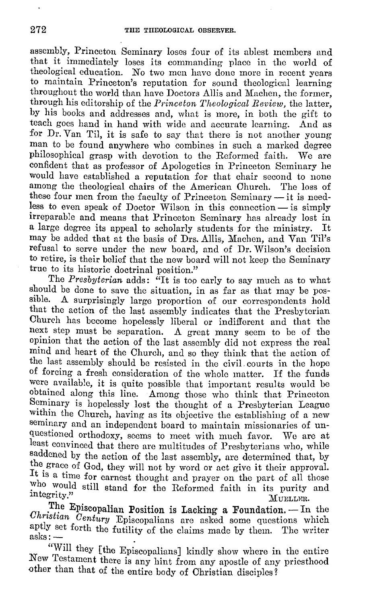assembly, Princeton Seminary loses four of its ablest members and that it immediately loses its commanding place in the world of theological education. No two men have done more in recent years to maintain Princeton's reputation for sound theological learning throughout the world than have Doctors Allis and Machen, the former, through his editorship of the *Princeton Theological Review*, the latter, by his books and addresses and, what is more, in both the gift to teach goes hand in hand with wide and accurate learning. And as for Dr. Van Til, it is safe to say that there is not another young man to be found anywhere who combines in such a marked degree philosophical grasp with devotion to the Reformed faith. We are philosophical grasp with devotion to the Reformed faith. confident that as professor of Apologetics in Princeton Seminary he would have established a reputation for that chair second to none among the theological chairs of the American Church. The loss of among the theological chairs of the American Church. these four men from the faculty of Princeton Seminary --- it is needless to even speak of Doctor Wilson in this connection  $-$  is simply irreparable and means that Princeton Seminary has already lost in a large degree its appeal to scholarly students for the ministry. may be added that at the basis of Drs. Allis, Machen, and Van Til's refusal to serve under the new board, and of Dr. Wilson's decision to retire, is their belief that the new board will not keep the Seminary true to its historic doctrinal position."

The *Presbyterian* adds: <sup> $\bar{a}$ </sup>It is too early to say much as to what should be done to save the situation, in as far as that may be pos-<br>sible. A surprisingly large proportion of our correspondents hold A surprisingly large proportion of our correspondents hold that the action of the last assembly indicates that the Presbyterian Church has become hopelessly liberal or indifferent and that the next step must be separation. A great many seem to be of the opinion that the action of the last assembly did not express the real mind and heart of the Church, and so they think that the action of the last assembly should be resisted in the civil, courts in the hope of forcing a fresh consideration of the whole matter. If the funds were available, it is quite possible that important results would be obtained along this line. Among those who think that Princeton Seminary is hopelessly lost the thought of a Presbyterian League within the Church, having as its objective the establishing of a new seminary and an independent board to maintain missionaries of unquestioned orthodoxy, seems to meet with much favor. We are at least convinced that there are multitudes of Presbyterians who, while saddened by the action of the last assembly, are determined that, by the grace of God, they will not by word or act give it their approval. It is a time for earnest thought and prayer on the part of all those who would still stand for the Reformed faith in its purity and  ${\rm\bf M}$  degrity." The set of  ${\rm\bf M}$  denotes  ${\rm\bf M}$  denotes  ${\rm\bf M}$  denotes  ${\rm\bf M}$  and  ${\rm\bf M}$  and  ${\rm\bf M}$  and  ${\rm\bf M}$  and  ${\rm\bf M}$  and  ${\rm\bf M}$  and  ${\rm\bf M}$  and  ${\rm\bf M}$  and  ${\rm\bf M}$  and  ${\rm\bf M}$  and  ${\rm\bf M}$  a

The Episcopalian Position is Lacking a Foundation. - In the *Ohristian Century* Episcopalians are asked some questions which aptly set forth the futility of the claims made by them. The writer asks:-

"Will they [the Episcopalians] kindly show where in the entire New Testament there is any hint from any apostle of any priesthood other than that of the entire body of Christian disciples?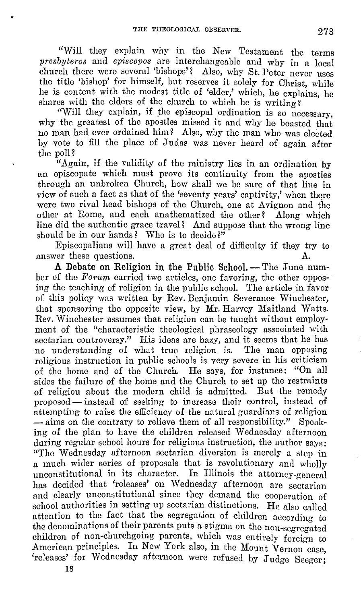"Will they explain why in the New Testament the terms *presbyteros* and *cpiscopos* are interchangeable and why in a local church there were several 'bishops'? Also, why St. Peter never uses the title 'bishop' for himself, but reserves it solely for Christ, while he is content with the modest title of 'elder,' which, he explains, he shares with the elders of the church to which he is writing?

"Will they explain, if the episcopal ordination is so necessary, why the greatest of the apostles missed it and why he boasted that no man had ever ordained him? Also, why the man who was elected by vote to fill the place of Judas was never heard of again after the poll?

"Again, if the validity of the ministry lies in an ordination by an episcopate which must prove its continuity from the apostles through an unbroken Church, how shall we be sure of that line in view of such a fact as that of the 'seventy years' captivity,' when there were two rival head bishops of the Church, one at Avignon and the other at Rome, and each anathematized the other? Along which line did the authentic grace travel? And suppose that the wrong line should be in our hands? Who is to decide?"

Episcopalians will have a great deal of difficulty if they try to answer these questions. A.

A Debate on Religion in the Public School. -- The June number of the *Forum* carried two articles, one favoring, the other opposing the teaching of religion in the public school. The article in favor of this policy was written by Rev. Benjamin Severance Winchester, that sponsoring the opposite view, by Mr. Harvey Maitland Watts. Rev. Winchester assumes that religion can be taught without employment of the "characteristic theological phraseology associated with sectarian controversy." His ideas are hazy, and it seems that he has no understanding of what true religion is. The man opposing religious instruction in public schools is very severe in his criticism of the home and of the Church. He says, for instance: "On all sides the failure of the home and the Church to set up the restraints<br>of religious about the modern child is admitted. But the remedy of religiou about the modern child is admitted. proposed — instead of seeking to increase their control, instead of attempting to raise the efficiency of the natural guardians of religion - aims on the contrary to relieve them of all responsibility." Speaking of the plan to have the children released Wednesday afternoon during regular school hours for religious instruction, the author says: "The Wednesday afternoon sectarian diversion is merely a step in a much wider series of proposals that is revolutionary and wholly unconstitutional in its character. In Illinois the attorney-general has decided that 'releases' on Wednesday afternoon are sectarian and clearly unconstitutional since they demand the cooperation of school authorities in setting up sectarian distinctions. He also called attention to the fact that the segregation of children according to the denominations of their parents puts a stigma on the non-segregated children of non-churchgoing parents, which was entirely foreign to American principles. In New York also, in the Mount Vernon case, 'releases' for Wednesday afternoon were refused by Judge Seeger;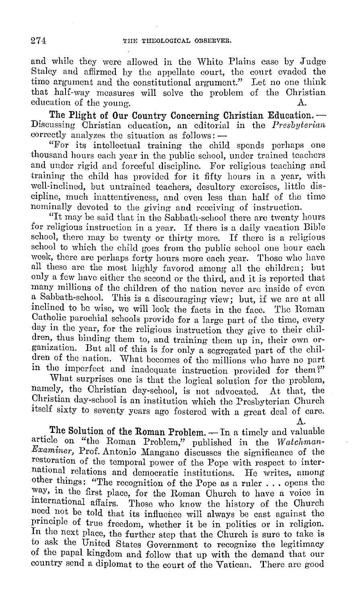and while they were allowed in the White Plains ease by Judge Staley and affirmed by the appellate court, the court evaded the time argument and the constitutional argument." Let no one think that half-way measures will solve the problem of the Christian education of the young education of the young.

**The Plight of Our Country Concerning Christian Education.** - Discussing Christian education, an editorial in the *Presbyterian*  correctly analyzes the situation as follows: -

"For its intellectual training the child spends perhaps one thousand hours each year in the public school, under trained teachers and under rigid and forceful discipline. For religious teaching and training the child has provided for it fifty hours in a year, with well-inclined, but untrained teachers, desultory exercises, little discipline, much inattentiveness, and even less than half of the time nominally devoted to the giving and receiving of instruction.

"It may be said that in the Sabbath-school there arc twenty hours for religious instruction in a year. If there is a daily vacation Bible school, there may be twenty or thirty more. If there is a religious school to which the child goes from the public school one hour each week, there are perhaps forty hours more each year. Those who have all these are the most highly favored among all the children; but only a few have either the second or the third, and it is reported that many millions of the children of the nation never are inside of even a Sabbath-school. This is a discouraging view; but, if we are at all inclined to be wise, we will look the facts in the face. The Roman inclined to be wise, we will look the facts in the face. Catholic parochial schools provide for a large part of the time, every day in the year, for the religious instruction they give to their children, thus binding them to, and training them up in, their own organization. But all of this is for only a segregated part of the children of the nation. What becomes of the millions who have no part in the imperfect and inadequate instruction provided for them?"

What surprises one is that the logical solution for the problem, namely, the Christian day-school, is not advocated. At that, the Christian day-school is an institution which the Presbyterian Church itself sixty to seventy years ago fostered with a great deal of care.

A.

The Solution of the Roman Problem. - In a timely and valuable article on "the Roman Problem," published in the *Watchman-Examiner,* Prof. Antonio Mangano discusses the significance of the restoration of the temporal power of the Pope with respect to international relations and democratic institutions. He writes, among other things: "The recognition of the Pope as a ruler ... opens the way, in the first place, for the Roman Church to have a voice in international affairs. Those who know the history of the Church need not be told that its influence will always be cast against the principle of true freedom, whether it be in politics or in religion. In the next place, the further step that the Church is sure to take is to ask the United States Government to recognize the legitimacy of the papal kingdom and follow that up with the demand that our country send a diplomat to the court of the Vatican. There arc good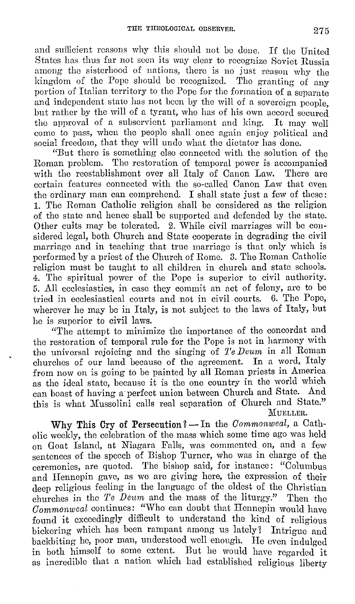and sufficient reasons why this should not be done. If the United States has thus far not seen its way clear to recognize Soviet Russia among the sisterhood of nations, there is no just reason why the kingdom of the Pope should be recognized. The granting of any portion of Italian territory to the Pope for the formation of a separate and independent state has not been by the will of a sovereign people. but rather by the will of a tyrant, who has of his own accord secured the approval of a subservient parliament and king. It may well the approval of a subservient parliament and king. come to pass, when the people shall once again enjoy political and social freedom, that they will undo what the dictator has done.

"But there is something else connected with the solution of the Roman problem. The restoration of temporal power is accompanied with the reestablishment over all Italy of Canon Law. There are with the reestablishment over all Italy of Canon Law. certain features connected with the so-called Canon Law that oven the ordinary man can comprehend. I shall state just a few of these: 1. The Roman Catholic religion shall be considered as the religion of the state and hence shall be supported and defended by the state. Other cults may be tolerated. 2. While civil marriages will be considered legal, both Church and State cooperate in degrading the civil marriage and in teaching that true marriage is that only which is performed by a priest of the Church of Rome. 3. The Roman Catholic religion must be taught to all children in church and state schools. 4. The spiritual power of the Pope is superior to civil authority. 5. All ecclesiastics, in case they commit an act of felony, are to be tried in ecclesiastical courts and not in civil courts. 6. The Pope, wherever he may be in Italy, is not subject to the laws of Italy, but he is superior to civil laws.

"The attempt to minimize the importance 0£ the concordat and the restoration of temporal rule for the Pope is not in harmony with the universal rejoicing and the singing of Te Deum in all Roman churches of our land because of tho agreement. In a word, Italy from now on is going to be painted by all Roman priests in America as tho ideal state, because it is the one country in the world which can boast of having a perfect union between Church and State. And this is what Mussolini calls real separation of Church and State." MUELLER.

Why This Cry of Persecution? - In the *Commonweal*, a Catholic weekly, tho celebration of the mass which some time ago was held on Goat Island, at Niagara Falls, was commented on, and a few sentences of the speech of Bishop Turner, who was in charge of the ceremonies, are quoted. The bishop said, for instance: "Columbus and Hennepin gave, as we are giving here, the expression of their deep religious feeling in the language of the oldest of the Christian churches in tho *'Pe Dewn* and the mass of the liturgy." Then the *Commonweal* continues: "Who can doubt that Hennepin would have found it exceedingly difficult to understand the kind of religious bickering which has been rampant among us lately? Intrigue and backbiting he, poor man, understood well enough. He even indulged in both himself to some extent. But he would have regarded it as incredible that a nation which had established religious liberty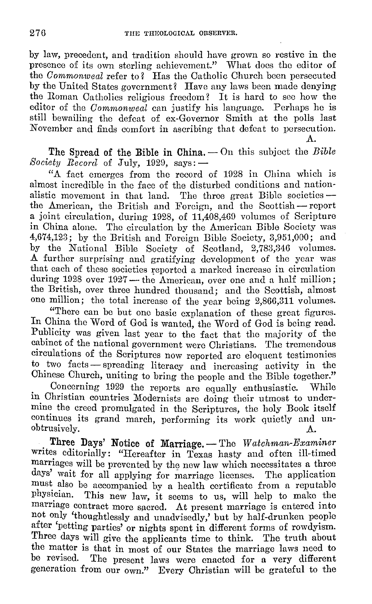by law, precedent, and tradition should have grown so restive in the presence of its own sterling achievement." What docs the editor of the *Commonweal* refer to? Has the Catholic Church been persecuted by the United States government? Have any laws been made denying the Roman Catholics religious freedom? It is hard to see how the editor of the *Commonweal* can justify his language. Perhaps he is still bewailing tho defeat of ex-Governor Smith at the polls last November and finds comfort in ascribing that defeat to persecution. A.

The Spread of the Bible in China. - On this subject the *Bible Society Record* of July, 1929, says:  $-$ 

"A fact emerges from the record of 1928 in China which is almost incredible in the face of the disturbed conditions and nationalistic movement in that land. The three great Bible societies  $$ the American, the British and Foreign, and the Scottish - report a joint circulation, during 1928, of 11,408,409 volumes of Scripture in China alone. The circulation by the American Bible Society was 4,674,123; by the British and Foreign Bible Society, 3,951,000; and by the National Bible Society of Scotland, 2,783,346 volumes. A further surprising and gratifying development of the year was that each of these societies reported a marked increase in circulation during 1928 over 1927 - the American, over one and a half million; the British, over three hundred thousand; and the Scottish, almost one million; the total increase of the year being 2,860,311 volumes.

"There can be but one basic explanation of these great figures. In China the Word of God is wanted, the Word of God is being read. Publicity was given last year to the fact that the majority of the cabinet of the national government were Christians. The tremendous circulations of the Scriptures now reported arc eloquent testimonies to two facts - spreading literacy and increasing activity in the Chinese Church, uniting to bring the people and the Bible together."

Concerning 1929 the reports are equally enthusiastic. While in Christian countries Modernists are doing their utmost to undermine the creed promulgated in the Scriptures, the holy Book itself continues its grand march, performing its work quietly and un-<br>obtrusively.  $\Lambda$ .

Three Days' Notice of Marriage. - The *Watchman-Examiner* writes editorially: "Hereafter in Texas hasty and often ill-timed marriages will be prevented by the new law which necessitates a three days' wait for all applying for marriage licenses. The application must also be accompanied by a health certificate from a reputable physician. This new law it seems to us, will help to make the This new law, it seems to us, will help to make the marriage contract more sacred. At present marriage is entered into not only 'thoughtlessly and unadvisedly,' but by half-drunken people after 'petting parties' or nights spent in different forms of rowdyism. Three days will give the applicants time to think. The truth about the matter is that in most of our States the marriage laws need to be revised. The present laws were enacted for a very different generation from our own." Every Christian will be grateful to the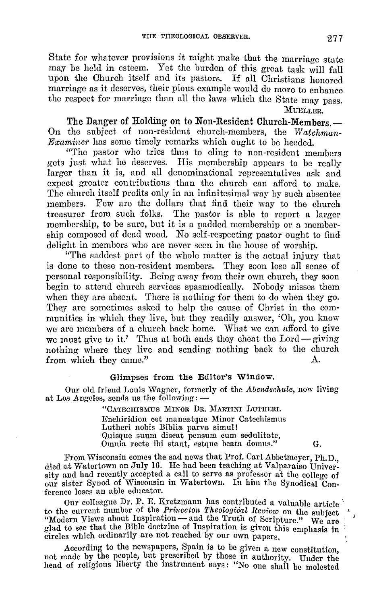State for whatever provisions it might make that the marriage state may be held in esteem. Yet the burden of this great task will fall upon the Church itself and its pastors. If all Christians honored marriage as it deserves, their pious example would do more to enhance the respect for marringc than all the laws which the State may pass. MUELLER.

The Danger of Holding on to Non-Resident Church-Members.-On the subject of non-resident church-members, the *Watchman-Examiner* has some timely remarks which ought to be heeded.

"The pastor who tries thus to cling to non-resident members gets just what he deserves. His membership appears to be really larger than it is, and all denominational representatives ask and expect greater contributions than the church can afford to make. The church itself profits only in an infinitesimal way by such absentee members. Few are the dollars that find their way to the church treasurer from such folks. The pastor is able to report a larger membership, to be sure, but it is a padded membership or a membership composed of dead wood. No self-respecting pastor ought to find delight in members who are never seen in the house of worship.

"The saddest part of the whole matter is the actual injury that is done to these non-resident members. They soon lose all sense of personal responsibility. Being away from their own church, they soon begin to attend church services spasmodically. Nobody misses them when they are absent. There is nothing for them to do when they go. They arc sometimes asked to help the cause of Christ in the communities in which they live, but they readily answer, 'Oh, you know we arc members of a church back home. What we can afford to give we must give to it.' Thus at both ends they cheat the Lord-giving nothing where they live and sending nothing back to the church from which they came." A.

#### Glimpses from the Editor's Window.

Our old friend Louis Wagner, formerly of the *Abendschule,* now living at Los Angeles, sends us the following: -

> "CATECHISMUS MINOR DR. MARTINI LUTHERI. JEnchiridion est rnaneatquc Minor Catechismus Lutheri nobis Biblia parva simul! Quisque snum discat pensum cum sedulitate, Omnia recte ibi stant, estque beata domus." G.

From Wisconsin comes the sad news that Prof. Carl Abbetmeyer, Ph.D. died at Watertown on July 16. He had been teaching at Valparaiso University and had recently accepted a call to serve as professor at the college of our sister Synod of Wisconsin in Watertown. In him the Synodical Conference loses an able educator.

Onr colleague Dr. P. E. Krctzmann has contributed a valuable article '· to the current number of the *Princeton Theological Review* on the subject "Modern Views about Inspiration — and the Truth of Scripture." We are modern Views and Bible doctrine of Inspiration is given this emphasis in circles which ordinarily are not reached by our own papers.

According to the newspapers, Spain is to be given a new constitution not made by the people, but prescribed by those in authority. Under the head of religious liberty the instrument says: "No one shall be molested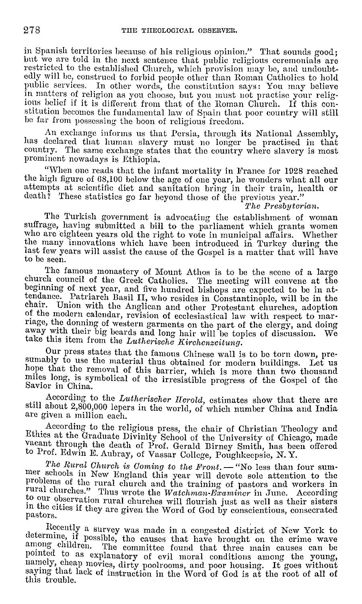in Spanish territories because of his religious opinion." That sounds good; lm Spanish securities is and the next sentence that public religious ceremonials are restricted to the established Church, which provision may be, and undoubtedly will be, construed to forbid people other than Roman Catholics to hold public services. In other words, the constitution says: You may believe in matters of religion as you choose, but you must not practise your relig-<br>jous belief if it is different from that of the Roman Church. If this constitution becomes the fundamental law of Spain that poor country will still be far from possessing the boon of religious freedom.

An exchange informs us that Persia, through its National Assembly, has declared that human slavery must no longer be practised in that country. The same exchange states that the country where slavery is most prominent nowadays is Ethiopia.

"When one reads that the infant mortality in France for 1928 reached the high figure of 68,100 below the age of one year, he wonders what all our attempts at scientific diet and sanitation bring in their train, health or death? These statistics go far beyond those of the previous year."

<sup>7</sup>*The Presbyterian*. The Turkish government is advocating the establishment of woman suffrage, having submitted a bill to the parliament which grants women who are eighteen years old the right to vote in municipal affairs. Whether the many innovations which have been introduced in Turkey during the last few years will assist the cause of the Gospel is a matter that will have to be seen.

The famous monastery of Mount Athos is to be the scene of a large church council of the Greek Catholics. The meeting will convene at the beginning of next year, and five hundred bishops arc expected to be in attendance. Patriarch Basil II, who resides in Constantinople, will be in the chair. Union with the Anglican and other Protestant churches, adoption of the modern calendar, revision of ecclesiastical law with respect to marriage, the donning of western garments on the part of the clergy, and doing away with their big beards and long hair will be topics of discussion. We take this item from the *Lutherische Kirchenzeitung*.

Our press states that the famous Chinese wall is to be torn down, prehope that the removal of this barrier, which is more than two thousand miles long, is symbolical of the irresistible progress of the Gospel of the<br>Savior in China.

According to the *Lutherischer Herold*, estimates show that there are still about 2,800,000 lepers in the world, of which number China and India arc given a million each.

According to the religious press, the chair of Christian Theology and Ethics at the Graduate Divinity School of the University of Chicago, made vacant through the death of Prof. Gerald Birney Smith, has been offered to Prof. Edwin E. Aubray, of Vassar College, Poughkeepsie, N. Y.

*The Rural Church is Coming to the Front.* — "No less than four sum-<br>mer schools in New England this year will devote sole attention to the<br>problems of the rural church and the training of pastors and workers in rural churches." Thus wrote the Watchman-Examiner in June. According to our observation rural churches will flourish just as well as their sisters in the cities if they are given the Word of God by conscientious, consecrat pastors.

Recently a survey was made in a congested district of New York to determine, if possible, the causes that have brought on the crime wave among children. The committee found that three main causes can be pomted to as explanatory of evil moral conditions among the young, namely, cheap movies, dirty poolrooms, and poor housing. It goes without saymg that lack of instruction in the Word of God is at the root of all of this trouble.